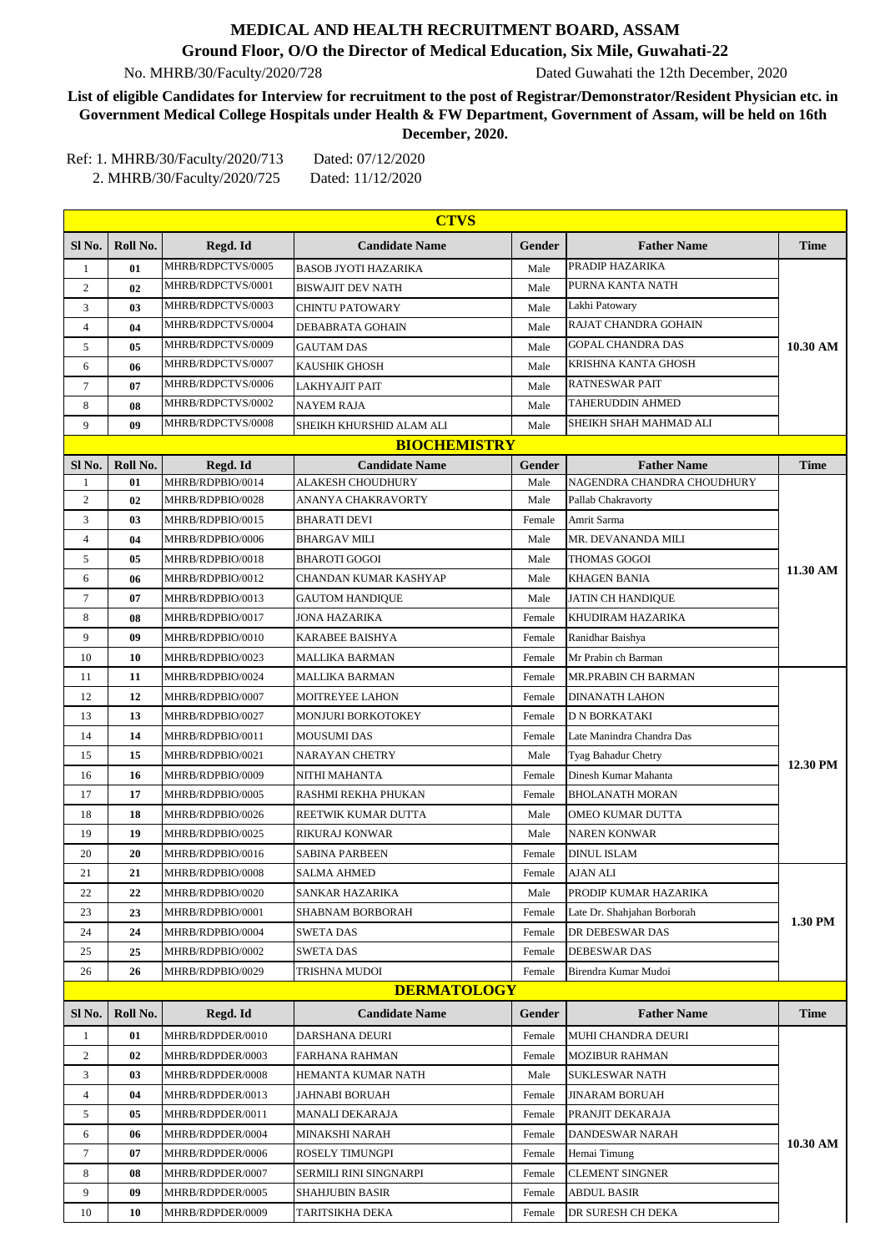## **MEDICAL AND HEALTH RECRUITMENT BOARD, ASSAM**

## **Ground Floor, O/O the Director of Medical Education, Six Mile, Guwahati-22**

No. MHRB/30/Faculty/2020/728 Dated Guwahati the 12th December, 2020

**List of eligible Candidates for Interview for recruitment to the post of Registrar/Demonstrator/Resident Physician etc. in Government Medical College Hospitals under Health & FW Department, Government of Assam, will be held on 16th December, 2020.**

Ref: 1. MHRB/30/Faculty/2020/713 Dated: 07/12/2020 2. MHRB/30/Faculty/2020/725 Dated: 11/12/2020

| <b>CTVS</b>    |                    |                   |                             |        |                             |             |  |
|----------------|--------------------|-------------------|-----------------------------|--------|-----------------------------|-------------|--|
| Sl No.         | Roll No.           | Regd. Id          | <b>Candidate Name</b>       | Gender | <b>Father Name</b>          | <b>Time</b> |  |
| $\mathbf{1}$   | 01                 | MHRB/RDPCTVS/0005 | <b>BASOB JYOTI HAZARIKA</b> | Male   | PRADIP HAZARIKA             | 10.30 AM    |  |
| $\overline{c}$ | 02                 | MHRB/RDPCTVS/0001 | <b>BISWAJIT DEV NATH</b>    | Male   | PURNA KANTA NATH            |             |  |
| 3              | 03                 | MHRB/RDPCTVS/0003 | <b>CHINTU PATOWARY</b>      | Male   | Lakhi Patowary              |             |  |
| 4              | 04                 | MHRB/RDPCTVS/0004 | DEBABRATA GOHAIN            | Male   | RAJAT CHANDRA GOHAIN        |             |  |
| 5              | 05                 | MHRB/RDPCTVS/0009 | <b>GAUTAM DAS</b>           | Male   | <b>GOPAL CHANDRA DAS</b>    |             |  |
| 6              | 06                 | MHRB/RDPCTVS/0007 | <b>KAUSHIK GHOSH</b>        | Male   | <b>KRISHNA KANTA GHOSH</b>  |             |  |
| 7              | 07                 | MHRB/RDPCTVS/0006 | <b>LAKHYAJIT PAIT</b>       | Male   | <b>RATNESWAR PAIT</b>       |             |  |
| 8              | 08                 | MHRB/RDPCTVS/0002 | <b>NAYEM RAJA</b>           | Male   | TAHERUDDIN AHMED            |             |  |
| 9              | 09                 | MHRB/RDPCTVS/0008 | SHEIKH KHURSHID ALAM ALI    | Male   | SHEIKH SHAH MAHMAD ALI      |             |  |
|                |                    |                   | <b>BIOCHEMISTRY</b>         |        |                             |             |  |
| Sl No.         | Roll No.           | Regd. Id          | <b>Candidate Name</b>       | Gender | <b>Father Name</b>          | <b>Time</b> |  |
| 1              | 01                 | MHRB/RDPBIO/0014  | <b>ALAKESH CHOUDHURY</b>    | Male   | NAGENDRA CHANDRA CHOUDHURY  |             |  |
| $\overline{c}$ | 02                 | MHRB/RDPBIO/0028  | ANANYA CHAKRAVORTY          | Male   | Pallab Chakravorty          |             |  |
| 3              | 03                 | MHRB/RDPBIO/0015  | <b>BHARATI DEVI</b>         | Female | Amrit Sarma                 |             |  |
| 4              | 04                 | MHRB/RDPBIO/0006  | <b>BHARGAV MILI</b>         | Male   | MR. DEVANANDA MILI          |             |  |
| 5              | 05                 | MHRB/RDPBIO/0018  | <b>BHAROTI GOGOI</b>        | Male   | THOMAS GOGOI                | 11.30 AM    |  |
| 6              | 06                 | MHRB/RDPBIO/0012  | CHANDAN KUMAR KASHYAP       | Male   | <b>KHAGEN BANIA</b>         |             |  |
| 7              | 07                 | MHRB/RDPBIO/0013  | <b>GAUTOM HANDIQUE</b>      | Male   | <b>JATIN CH HANDIQUE</b>    |             |  |
| 8              | 08                 | MHRB/RDPBIO/0017  | <b>JONA HAZARIKA</b>        | Female | KHUDIRAM HAZARIKA           |             |  |
| 9              | 09                 | MHRB/RDPBIO/0010  | KARABEE BAISHYA             | Female | Ranidhar Baishya            |             |  |
| 10             | 10                 | MHRB/RDPBIO/0023  | MALLIKA BARMAN              | Female | Mr Prabin ch Barman         |             |  |
| 11             | 11                 | MHRB/RDPBIO/0024  | MALLIKA BARMAN              | Female | MR.PRABIN CH BARMAN         | 12.30 PM    |  |
| 12             | 12                 | MHRB/RDPBIO/0007  | MOITREYEE LAHON             | Female | <b>DINANATH LAHON</b>       |             |  |
| 13             | 13                 | MHRB/RDPBIO/0027  | <b>MONJURI BORKOTOKEY</b>   | Female | <b>D N BORKATAKI</b>        |             |  |
| 14             | 14                 | MHRB/RDPBIO/0011  | MOUSUMI DAS                 | Female | Late Manindra Chandra Das   |             |  |
| 15             | 15                 | MHRB/RDPBIO/0021  | NARAYAN CHETRY              | Male   | Tyag Bahadur Chetry         |             |  |
| 16             | 16                 | MHRB/RDPBIO/0009  | NITHI MAHANTA               | Female | Dinesh Kumar Mahanta        |             |  |
| 17             | 17                 | MHRB/RDPBIO/0005  | RASHMI REKHA PHUKAN         | Female | <b>BHOLANATH MORAN</b>      |             |  |
| 18             | 18                 | MHRB/RDPBIO/0026  | REETWIK KUMAR DUTTA         | Male   | <b>OMEO KUMAR DUTTA</b>     |             |  |
| 19             | 19                 | MHRB/RDPBIO/0025  | <b>RIKURAJ KONWAR</b>       | Male   | <b>NAREN KONWAR</b>         |             |  |
| 20             | 20                 | MHRB/RDPBIO/0016  | SABINA PARBEEN              | Female | <b>DINUL ISLAM</b>          |             |  |
| 21             | 21                 | MHRB/RDPBIO/0008  | <b>SALMA AHMED</b>          | Female | <b>AJAN ALI</b>             | 1.30 PM     |  |
| 22             | 22                 | MHRB/RDPBIO/0020  | <b>SANKAR HAZARIKA</b>      | Male   | PRODIP KUMAR HAZARIKA       |             |  |
| 23             | 23                 | MHRB/RDPBIO/0001  | <b>SHABNAM BORBORAH</b>     | Female | Late Dr. Shahjahan Borborah |             |  |
| 24             | 24                 | MHRB/RDPBIO/0004  | <b>SWETA DAS</b>            | Female | DR DEBESWAR DAS             |             |  |
| 25             | 25                 | MHRB/RDPBIO/0002  | SWETA DAS                   | Female | DEBESWAR DAS                |             |  |
| 26             | 26                 | MHRB/RDPBIO/0029  | TRISHNA MUDOI               | Female | Birendra Kumar Mudoi        |             |  |
|                | <b>DERMATOLOGY</b> |                   |                             |        |                             |             |  |
| Sl No.         | Roll No.           | Regd. Id          | <b>Candidate Name</b>       | Gender | <b>Father Name</b>          | <b>Time</b> |  |
| 1              | 01                 | MHRB/RDPDER/0010  | <b>DARSHANA DEURI</b>       | Female | MUHI CHANDRA DEURI          | 10.30 AM    |  |
| 2              | 02                 | MHRB/RDPDER/0003  | <b>FARHANA RAHMAN</b>       | Female | <b>MOZIBUR RAHMAN</b>       |             |  |
| 3              | 03                 | MHRB/RDPDER/0008  | HEMANTA KUMAR NATH          | Male   | <b>SUKLESWAR NATH</b>       |             |  |
| 4              | 04                 | MHRB/RDPDER/0013  | JAHNABI BORUAH              | Female | JINARAM BORUAH              |             |  |
| 5              | 05                 | MHRB/RDPDER/0011  | MANALI DEKARAJA             | Female | PRANJIT DEKARAJA            |             |  |
| 6              | 06                 | MHRB/RDPDER/0004  | MINAKSHI NARAH              | Female | DANDESWAR NARAH             |             |  |
| 7              | 07                 | MHRB/RDPDER/0006  | ROSELY TIMUNGPI             | Female | Hemai Timung                |             |  |
| 8              | 08                 | MHRB/RDPDER/0007  | SERMILI RINI SINGNARPI      | Female | <b>CLEMENT SINGNER</b>      |             |  |
| 9              | 09                 | MHRB/RDPDER/0005  | SHAHJUBIN BASIR             | Female | ABDUL BASIR                 |             |  |
| 10             | 10                 | MHRB/RDPDER/0009  | TARITSIKHA DEKA             | Female | DR SURESH CH DEKA           |             |  |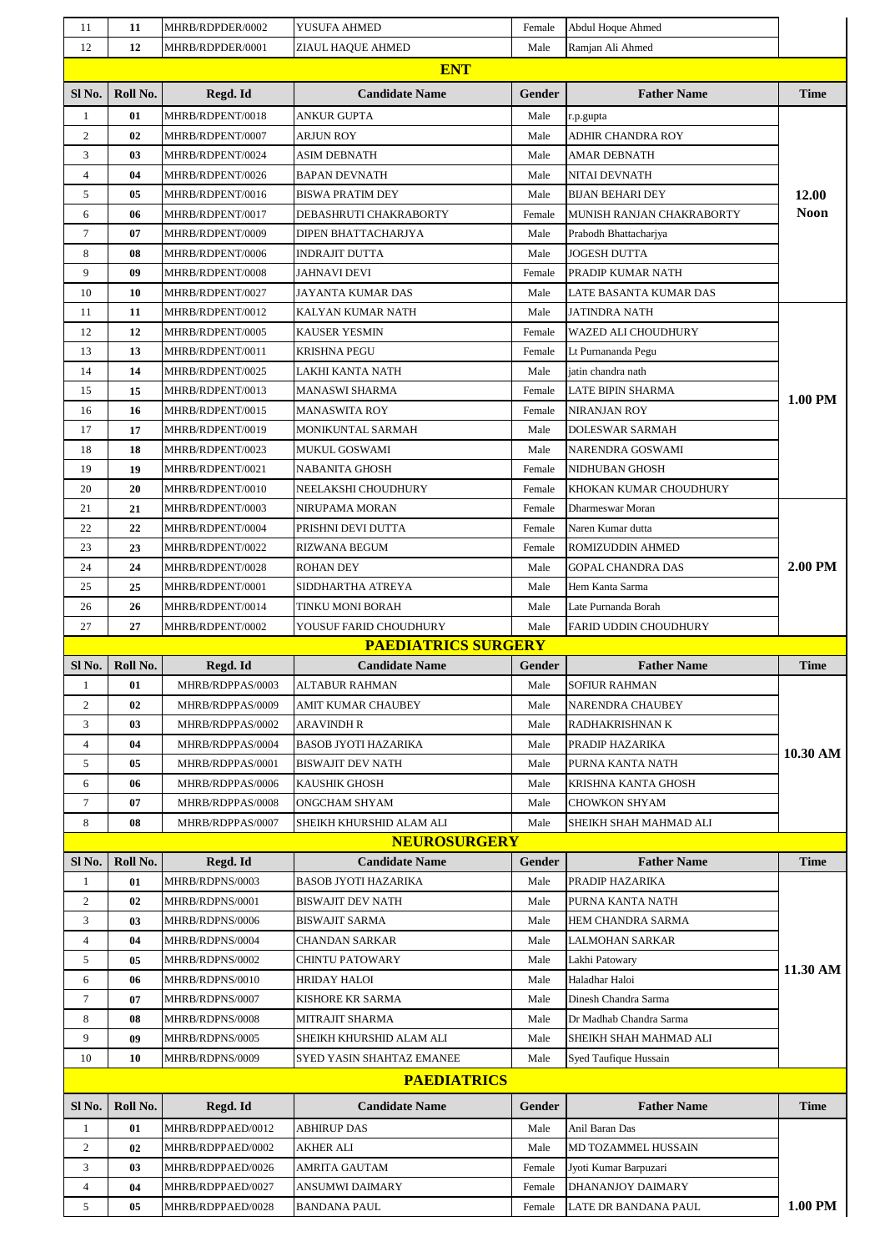| 11                | 11       | MHRB/RDPDER/0002                       | YUSUFA AHMED                              | Female           | Abdul Hoque Ahmed                                 |                      |
|-------------------|----------|----------------------------------------|-------------------------------------------|------------------|---------------------------------------------------|----------------------|
| 12                | 12       | MHRB/RDPDER/0001                       | ZIAUL HAQUE AHMED                         | Male             | Ramjan Ali Ahmed                                  |                      |
|                   |          |                                        | <b>ENT</b>                                |                  |                                                   |                      |
| Sl No.            | Roll No. | Regd. Id                               | <b>Candidate Name</b>                     | Gender           | <b>Father Name</b>                                | <b>Time</b>          |
| 1                 | 01       | MHRB/RDPENT/0018                       | <b>ANKUR GUPTA</b>                        | Male             | r.p.gupta                                         |                      |
| 2                 | 02       | MHRB/RDPENT/0007                       | ARJUN ROY                                 | Male             | ADHIR CHANDRA ROY                                 |                      |
| 3                 | 03       | MHRB/RDPENT/0024                       | ASIM DEBNATH                              | Male             | AMAR DEBNATH                                      |                      |
| $\overline{4}$    | 04       | MHRB/RDPENT/0026                       | <b>BAPAN DEVNATH</b>                      | Male             | NITAI DEVNATH                                     | 12.00<br><b>Noon</b> |
| 5                 | 05       | MHRB/RDPENT/0016                       | <b>BISWA PRATIM DEY</b>                   | Male             | <b>BIJAN BEHARI DEY</b>                           |                      |
| 6                 | 06       | MHRB/RDPENT/0017                       | DEBASHRUTI CHAKRABORTY                    | Female           | MUNISH RANJAN CHAKRABORTY                         |                      |
| $\tau$            | 07       | MHRB/RDPENT/0009                       | DIPEN BHATTACHARJYA                       | Male             | Prabodh Bhattacharjya                             |                      |
| 8                 | 08       | MHRB/RDPENT/0006                       | <b>INDRAJIT DUTTA</b>                     | Male             | <b>JOGESH DUTTA</b>                               |                      |
| 9                 | 09       | MHRB/RDPENT/0008                       | <b>JAHNAVI DEVI</b>                       | Female           | PRADIP KUMAR NATH                                 |                      |
| 10                | 10       | MHRB/RDPENT/0027                       | JAYANTA KUMAR DAS                         | Male             | LATE BASANTA KUMAR DAS                            |                      |
| 11                | 11       | MHRB/RDPENT/0012                       | KALYAN KUMAR NATH                         | Male             | <b>JATINDRA NATH</b>                              |                      |
| 12                | 12       | MHRB/RDPENT/0005                       | <b>KAUSER YESMIN</b>                      | Female           | WAZED ALI CHOUDHURY                               |                      |
| 13                | 13       | MHRB/RDPENT/0011                       | <b>KRISHNA PEGU</b>                       | Female           | Lt Purnananda Pegu                                |                      |
| 14                | 14       | MHRB/RDPENT/0025                       | LAKHI KANTA NATH                          | Male             | iatin chandra nath                                |                      |
| 15                | 15       | MHRB/RDPENT/0013                       | <b>MANASWI SHARMA</b>                     | Female           | <b>LATE BIPIN SHARMA</b>                          | 1.00 PM              |
| 16                | 16       | MHRB/RDPENT/0015                       | <b>MANASWITA ROY</b>                      | Female           | <b>NIRANJAN ROY</b>                               |                      |
| 17                | 17       | MHRB/RDPENT/0019                       | MONIKUNTAL SARMAH                         | Male             | <b>DOLESWAR SARMAH</b>                            |                      |
| 18                | 18       | MHRB/RDPENT/0023                       | MUKUL GOSWAMI                             | Male             | NARENDRA GOSWAMI                                  |                      |
| 19                | 19       | MHRB/RDPENT/0021                       | <b>NABANITA GHOSH</b>                     | Female           | NIDHUBAN GHOSH                                    |                      |
| 20                | 20       | MHRB/RDPENT/0010                       | NEELAKSHI CHOUDHURY                       | Female           | KHOKAN KUMAR CHOUDHURY                            |                      |
| 21                | 21       | MHRB/RDPENT/0003                       | NIRUPAMA MORAN                            | Female           | Dharmeswar Moran                                  |                      |
| 22                | 22       | MHRB/RDPENT/0004                       | PRISHNI DEVI DUTTA                        | Female           | Naren Kumar dutta                                 |                      |
| 23                | 23       | MHRB/RDPENT/0022                       | RIZWANA BEGUM                             | Female           | ROMIZUDDIN AHMED                                  |                      |
| 24                | 24       | MHRB/RDPENT/0028                       | <b>ROHAN DEY</b>                          | Male             | <b>GOPAL CHANDRA DAS</b>                          | 2.00 PM              |
| 25                | 25       | MHRB/RDPENT/0001                       | SIDDHARTHA ATREYA                         | Male             | Hem Kanta Sarma                                   |                      |
| 26                | 26       | MHRB/RDPENT/0014                       | TINKU MONI BORAH                          | Male             | Late Purnanda Borah                               |                      |
| 27                |          |                                        |                                           |                  |                                                   |                      |
|                   | 27       | MHRB/RDPENT/0002                       | YOUSUF FARID CHOUDHURY                    | Male             | FARID UDDIN CHOUDHURY                             |                      |
|                   |          |                                        | <b>PAEDIATRICS SURGERY</b>                |                  |                                                   |                      |
| SI No.            | Roll No. | Regd. Id                               | <b>Candidate Name</b>                     | Gender           | <b>Father Name</b>                                | Time                 |
| $\mathbf{1}$      | 01       | MHRB/RDPPAS/0003                       | <b>ALTABUR RAHMAN</b>                     | Male             | <b>SOFIUR RAHMAN</b>                              |                      |
| 2                 | 02       | MHRB/RDPPAS/0009                       | AMIT KUMAR CHAUBEY                        | Male             | NARENDRA CHAUBEY                                  |                      |
| 3                 | 03       | MHRB/RDPPAS/0002                       | <b>ARAVINDH R</b>                         | Male             | RADHAKRISHNAN K                                   |                      |
| $\overline{4}$    | 04       | MHRB/RDPPAS/0004                       | <b>BASOB JYOTI HAZARIKA</b>               | Male             | PRADIP HAZARIKA                                   | $10.30$ AM           |
| 5                 | 05       | MHRB/RDPPAS/0001                       | <b>BISWAJIT DEV NATH</b>                  | Male             | PURNA KANTA NATH                                  |                      |
| 6<br>7            | 06       | MHRB/RDPPAS/0006                       | <b>KAUSHIK GHOSH</b>                      | Male<br>Male     | KRISHNA KANTA GHOSH                               |                      |
| 8                 | 07<br>08 | MHRB/RDPPAS/0008<br>MHRB/RDPPAS/0007   | ONGCHAM SHYAM<br>SHEIKH KHURSHID ALAM ALI | Male             | CHOWKON SHYAM<br>SHEIKH SHAH MAHMAD ALI           |                      |
|                   |          |                                        | <b>NEUROSURGERY</b>                       |                  |                                                   |                      |
| Sl No.            | Roll No. | Regd. Id                               | <b>Candidate Name</b>                     | Gender           | <b>Father Name</b>                                | Time                 |
| $\mathbf{1}$      | 01       | MHRB/RDPNS/0003                        | <b>BASOB JYOTI HAZARIKA</b>               | Male             | PRADIP HAZARIKA                                   |                      |
| 2                 | 02       | MHRB/RDPNS/0001                        | <b>BISWAJIT DEV NATH</b>                  | Male             | PURNA KANTA NATH                                  |                      |
| 3                 | 03       | MHRB/RDPNS/0006                        | <b>BISWAJIT SARMA</b>                     | Male             | HEM CHANDRA SARMA                                 |                      |
| $\overline{4}$    | 04       | MHRB/RDPNS/0004                        | CHANDAN SARKAR                            | Male             | LALMOHAN SARKAR                                   |                      |
| 5                 | 05       | MHRB/RDPNS/0002                        | <b>CHINTU PATOWARY</b>                    | Male             | Lakhi Patowary                                    |                      |
| 6                 | 06       | MHRB/RDPNS/0010                        | <b>HRIDAY HALOI</b>                       | Male             | Haladhar Haloi                                    | 11.30 AM             |
| 7                 | 07       | MHRB/RDPNS/0007                        | <b>KISHORE KR SARMA</b>                   | Male             | Dinesh Chandra Sarma                              |                      |
| 8                 | 08       | MHRB/RDPNS/0008                        | MITRAJIT SHARMA                           | Male             | Dr Madhab Chandra Sarma                           |                      |
| 9                 | 09       | MHRB/RDPNS/0005                        | SHEIKH KHURSHID ALAM ALI                  | Male             | SHEIKH SHAH MAHMAD ALI                            |                      |
| 10                | 10       | MHRB/RDPNS/0009                        | SYED YASIN SHAHTAZ EMANEE                 | Male             | Syed Taufique Hussain                             |                      |
|                   |          |                                        | <b>PAEDIATRICS</b>                        |                  |                                                   |                      |
|                   | Roll No. |                                        | <b>Candidate Name</b>                     | Gender           | <b>Father Name</b>                                | Time                 |
| Sl <sub>No.</sub> |          | Regd. Id                               |                                           |                  |                                                   |                      |
| 1                 | 01       | MHRB/RDPPAED/0012                      | ABHIRUP DAS                               | Male             | Anil Baran Das                                    |                      |
| 2<br>3            | 02       | MHRB/RDPPAED/0002<br>MHRB/RDPPAED/0026 | <b>AKHER ALI</b><br><b>AMRITA GAUTAM</b>  | Male<br>Female   | MD TOZAMMEL HUSSAIN                               |                      |
| $\overline{4}$    | 03<br>04 |                                        | <b>ANSUMWI DAIMARY</b>                    |                  | Jyoti Kumar Barpuzari<br><b>DHANANJOY DAIMARY</b> |                      |
| 5                 | 05       | MHRB/RDPPAED/0027<br>MHRB/RDPPAED/0028 | <b>BANDANA PAUL</b>                       | Female<br>Female | LATE DR BANDANA PAUL                              | 1.00 PM              |